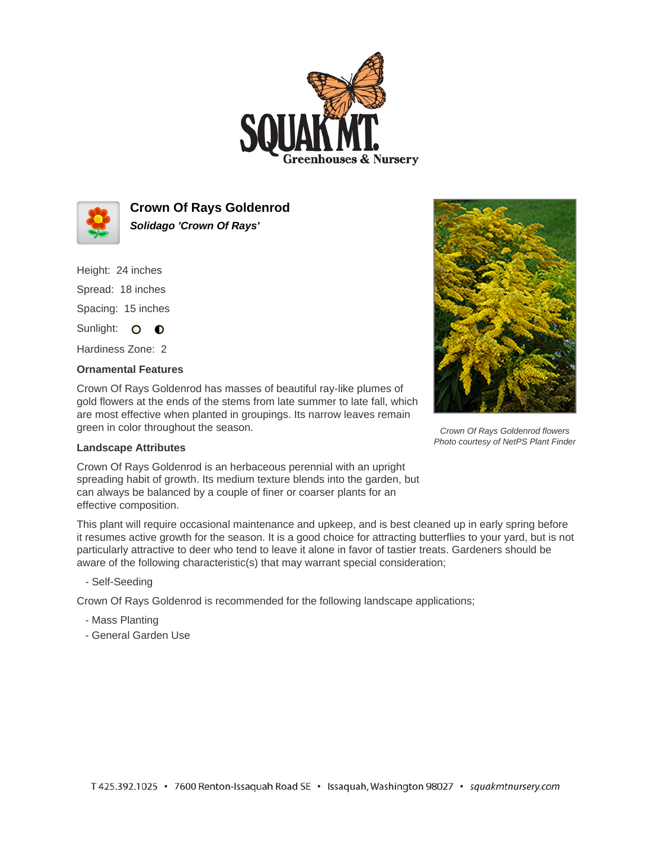



**Crown Of Rays Goldenrod Solidago 'Crown Of Rays'**

Height: 24 inches

Spread: 18 inches Spacing: 15 inches

Sunlight: O **O** 

Hardiness Zone: 2

## **Ornamental Features**

Crown Of Rays Goldenrod has masses of beautiful ray-like plumes of gold flowers at the ends of the stems from late summer to late fall, which are most effective when planted in groupings. Its narrow leaves remain green in color throughout the season.



Crown Of Rays Goldenrod flowers Photo courtesy of NetPS Plant Finder

## **Landscape Attributes**

Crown Of Rays Goldenrod is an herbaceous perennial with an upright spreading habit of growth. Its medium texture blends into the garden, but can always be balanced by a couple of finer or coarser plants for an effective composition.

This plant will require occasional maintenance and upkeep, and is best cleaned up in early spring before it resumes active growth for the season. It is a good choice for attracting butterflies to your yard, but is not particularly attractive to deer who tend to leave it alone in favor of tastier treats. Gardeners should be aware of the following characteristic(s) that may warrant special consideration;

- Self-Seeding

Crown Of Rays Goldenrod is recommended for the following landscape applications;

- Mass Planting
- General Garden Use